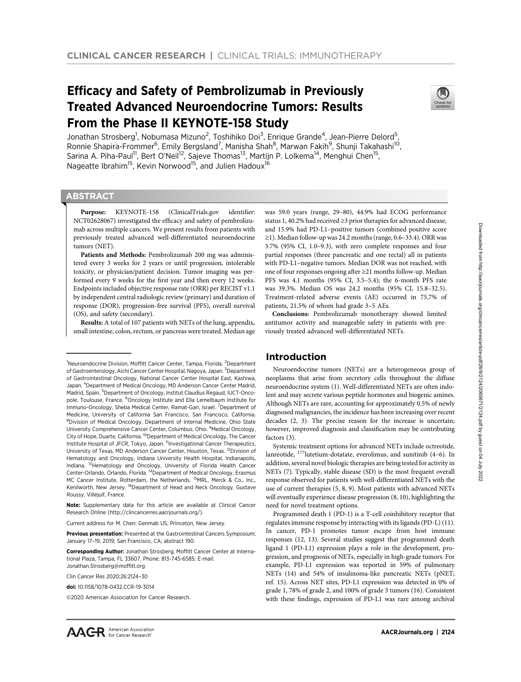# Efficacy and Safety of Pembrolizumab in Previously Treated Advanced Neuroendocrine Tumors: Results From the Phase II KEYNOTE-158 Study



Jonathan Strosberg<sup>1</sup>, Nobumasa Mizuno<sup>2</sup>, Toshihiko Doi<sup>3</sup>, Enrique Grande<sup>4</sup>, Jean-Pierre Delord<sup>5</sup>, Ronnie Shapira-Frommer<sup>6</sup>, Emily Bergsland<sup>7</sup>, Manisha Shah<sup>8</sup>, Marwan Fakih<sup>9</sup>, Shunji Takahashi<sup>10</sup>, Sarina A. Piha-Paul<sup>11</sup>, Bert O'Neil<sup>12</sup>, Sajeve Thomas<sup>13</sup>, Martijn P. Lolkema<sup>14</sup>, Menghui Chen<sup>15</sup>, Nageatte Ibrahim<sup>15</sup>, Kevin Norwood<sup>15</sup>, and Julien Hadoux<sup>16</sup>

# **ABSTRACT**

◥

Purpose: KEYNOTE-158 (ClinicalTrials.gov identifier: NCT02628067) investigated the efficacy and safety of pembrolizumab across multiple cancers. We present results from patients with previously treated advanced well-differentiated neuroendocrine tumors (NET).

Patients and Methods: Pembrolizumab 200 mg was administered every 3 weeks for 2 years or until progression, intolerable toxicity, or physician/patient decision. Tumor imaging was performed every 9 weeks for the first year and then every 12 weeks. Endpoints included objective response rate (ORR) per RECIST v1.1 by independent central radiologic review (primary) and duration of response (DOR), progression-free survival (PFS), overall survival (OS), and safety (secondary).

Results: A total of 107 patients with NETs of the lung, appendix, small intestine, colon, rectum, or pancreas were treated. Median age

Note: Supplementary data for this article are available at Clinical Cancer Research Online (http://clincancerres.aacrjournals.org/).

Current address for M. Chen: Genmab US, Princeton, New Jersey.

Previous presentation: Presented at the Gastrointestinal Cancers Symposium; January 17–19, 2019; San Francisco, CA; abstract 190.

Corresponding Author: Jonathan Strosberg, Moffitt Cancer Center at International Plaza, Tampa, FL 33607. Phone: 813-745-6585; E-mail: Jonathan.Strosberg@moffitt.org

Clin Cancer Res 2020;26:2124–30

doi: 10.1158/1078-0432.CCR-19-3014

2020 American Association for Cancer Research.

was 59.0 years (range, 29–80), 44.9% had ECOG performance status 1, 40.2% had received ≥3 prior therapies for advanced disease, and 15.9% had PD-L1–positive tumors (combined positive score ≥1). Median follow-up was 24.2 months (range, 0.6–33.4). ORR was 3.7% (95% CI, 1.0–9.3), with zero complete responses and four partial responses (three pancreatic and one rectal) all in patients with PD-L1–negative tumors. Median DOR was not reached, with one of four responses ongoing after ≥21 months follow-up. Median PFS was 4.1 months (95% CI, 3.5–5.4); the 6-month PFS rate was 39.3%. Median OS was 24.2 months (95% CI, 15.8–32.5). Treatment-related adverse events (AE) occurred in 75.7% of patients, 21.5% of whom had grade 3–5 AEs.

Conclusions: Pembrolizumab monotherapy showed limited antitumor activity and manageable safety in patients with previously treated advanced well-differentiated NETs.

# Introduction

Neuroendocrine tumors (NETs) are a heterogeneous group of neoplasms that arise from secretory cells throughout the diffuse neuroendocrine system (1). Well-differentiated NETs are often indolent and may secrete various peptide hormones and biogenic amines. Although NETs are rare, accounting for approximately 0.5% of newly diagnosed malignancies, the incidence has been increasing over recent decades (2, 3). The precise reason for the increase is uncertain; however, improved diagnosis and classification may be contributing factors (3).

Systemic treatment options for advanced NETs include octreotide, lanreotide, 177lutetium-dotatate, everolimus, and sunitinib (4–6). In addition, several novel biologic therapies are being tested for activity in NETs (7). Typically, stable disease (SD) is the most frequent overall response observed for patients with well-differentiated NETs with the use of current therapies (5, 8, 9). Most patients with advanced NETs will eventually experience disease progression (8, 10), highlighting the need for novel treatment options.

Programmed death 1 (PD-1) is a T-cell coinhibitory receptor that regulates immune response by interacting with its ligands (PD-L) (11). In cancer, PD-1 promotes tumor escape from host immune responses (12, 13). Several studies suggest that programmed death ligand 1 (PD-L1) expression plays a role in the development, progression, and prognosis of NETs, especially in high-grade tumors. For example, PD-L1 expression was reported in 59% of pulmonary NETs (14) and 54% of insulinoma-like pancreatic NETs (pNET; ref. 15). Across NET sites, PD-L1 expression was detected in 0% of grade 1, 78% of grade 2, and 100% of grade 3 tumors (16). Consistent with these findings, expression of PD-L1 was rare among archival



<sup>&</sup>lt;sup>1</sup>Neuroendocrine Division, Moffitt Cancer Center, Tampa, Florida. <sup>2</sup>Department of Gastroenterology, Aichi Cancer Center Hospital, Nagoya, Japan. <sup>3</sup>Department of Gastrointestinal Oncology, National Cancer Center Hospital East, Kashiwa, Japan. <sup>4</sup>Department of Medical Oncology, MD Anderson Cancer Center Madrid, Madrid, Spain. <sup>5</sup>Department of Oncology, Institut Claudius Regaud, IUCT-Oncopole, Toulouse, France. <sup>6</sup>Oncology Institute and Ella Lemelbaum Institute for Immuno-Oncology, Sheba Medical Center, Ramat-Gan, Israel. <sup>7</sup>Department of Medicine, University of California San Francisco, San Francisco, California. <sup>8</sup>Division of Medical Oncology, Department of Internal Medicine, Ohio State University Comprehensive Cancer Center, Columbus, Ohio. <sup>9</sup>Medical Oncology, City of Hope, Duarte, California. <sup>10</sup>Department of Medical Oncology, The Cancer Institute Hospital of JFCR, Tokyo, Japan. <sup>11</sup>Investigational Cancer Therapeutics, University of Texas, MD Anderson Cancer Center, Houston, Texas. 12Division of Hematology and Oncology, Indiana University Health Hospital, Indianapolis, Indiana. <sup>13</sup>Hematology and Oncology, University of Florida Health Cancer Center-Orlando, Orlando, Florida. 14Department of Medical Oncology, Erasmus MC Cancer Institute, Rotterdam, the Netherlands. <sup>15</sup>MRL, Merck & Co., Inc., Kenilworth, New Jersey. <sup>16</sup>Department of Head and Neck Oncology, Gustave Roussy, Villejuif, France.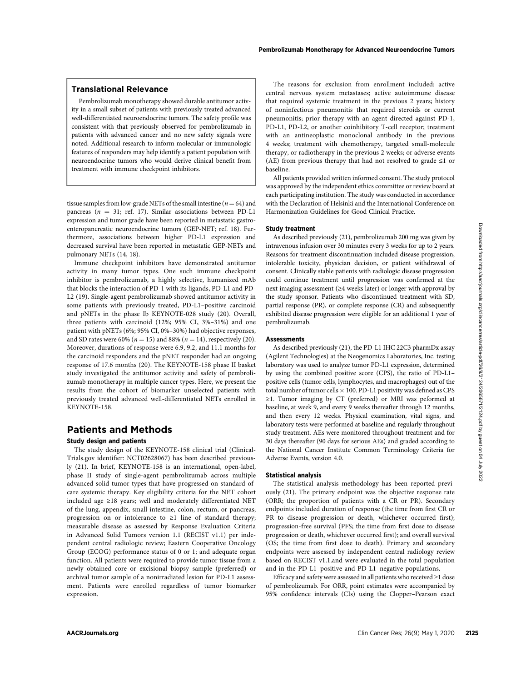Pembrolizumab monotherapy showed durable antitumor activity in a small subset of patients with previously treated advanced well-differentiated neuroendocrine tumors. The safety profile was consistent with that previously observed for pembrolizumab in patients with advanced cancer and no new safety signals were noted. Additional research to inform molecular or immunologic features of responders may help identify a patient population with neuroendocrine tumors who would derive clinical benefit from treatment with immune checkpoint inhibitors.

tissue samples from low-grade NETs of the small intestine ( $n=64$ ) and pancreas ( $n = 31$ ; ref. 17). Similar associations between PD-L1 expression and tumor grade have been reported in metastatic gastroenteropancreatic neuroendocrine tumors (GEP-NET; ref. 18). Furthermore, associations between higher PD-L1 expression and decreased survival have been reported in metastatic GEP-NETs and pulmonary NETs (14, 18).

Immune checkpoint inhibitors have demonstrated antitumor activity in many tumor types. One such immune checkpoint inhibitor is pembrolizumab, a highly selective, humanized mAb that blocks the interaction of PD-1 with its ligands, PD-L1 and PD-L2 (19). Single-agent pembrolizumab showed antitumor activity in some patients with previously treated, PD-L1–positive carcinoid and pNETs in the phase Ib KEYNOTE-028 study (20). Overall, three patients with carcinoid (12%; 95% CI, 3%–31%) and one patient with pNETs (6%; 95% CI, 0%–30%) had objective responses, and SD rates were 60% ( $n = 15$ ) and 88% ( $n = 14$ ), respectively (20). Moreover, durations of response were 6.9, 9.2, and 11.1 months for the carcinoid responders and the pNET responder had an ongoing response of 17.6 months (20). The KEYNOTE-158 phase II basket study investigated the antitumor activity and safety of pembrolizumab monotherapy in multiple cancer types. Here, we present the results from the cohort of biomarker unselected patients with previously treated advanced well-differentiated NETs enrolled in KEYNOTE-158.

# Patients and Methods

## Study design and patients

The study design of the KEYNOTE-158 clinical trial (Clinical-Trials.gov identifier: NCT02628067) has been described previously (21). In brief, KEYNOTE-158 is an international, open-label, phase II study of single-agent pembrolizumab across multiple advanced solid tumor types that have progressed on standard-ofcare systemic therapy. Key eligibility criteria for the NET cohort included age ≥18 years; well and moderately differentiated NET of the lung, appendix, small intestine, colon, rectum, or pancreas; progression on or intolerance to ≥1 line of standard therapy; measurable disease as assessed by Response Evaluation Criteria in Advanced Solid Tumors version 1.1 (RECIST v1.1) per independent central radiologic review; Eastern Cooperative Oncology Group (ECOG) performance status of 0 or 1; and adequate organ function. All patients were required to provide tumor tissue from a newly obtained core or excisional biopsy sample (preferred) or archival tumor sample of a nonirradiated lesion for PD-L1 assessment. Patients were enrolled regardless of tumor biomarker expression. ericular consider using (1824-0511-151 (4) For **Study beatsons**). The properties of the study of the study of the study of the study of the study of the study of the study of the study of the study of the study of the stu

The reasons for exclusion from enrollment included: active central nervous system metastases; active autoimmune disease that required systemic treatment in the previous 2 years; history of noninfectious pneumonitis that required steroids or current pneumonitis; prior therapy with an agent directed against PD-1, PD-L1, PD-L2, or another coinhibitory T-cell receptor; treatment with an antineoplastic monoclonal antibody in the previous 4 weeks; treatment with chemotherapy, targeted small-molecule therapy, or radiotherapy in the previous 2 weeks; or adverse events (AE) from previous therapy that had not resolved to grade ≤1 or baseline.

All patients provided written informed consent. The study protocol was approved by the independent ethics committee or review board at each participating institution. The study was conducted in accordance with the Declaration of Helsinki and the International Conference on Harmonization Guidelines for Good Clinical Practice.

### Study treatment

As described previously (21), pembrolizumab 200 mg was given by intravenous infusion over 30 minutes every 3 weeks for up to 2 years. Reasons for treatment discontinuation included disease progression, intolerable toxicity, physician decision, or patient withdrawal of consent. Clinically stable patients with radiologic disease progression could continue treatment until progression was confirmed at the next imaging assessment (≥4 weeks later) or longer with approval by the study sponsor. Patients who discontinued treatment with SD, partial response (PR), or complete response (CR) and subsequently exhibited disease progression were eligible for an additional 1 year of pembrolizumab.

## Assessments

As described previously (21), the PD-L1 IHC 22C3 pharmDx assay (Agilent Technologies) at the Neogenomics Laboratories, Inc. testing laboratory was used to analyze tumor PD-L1 expression, determined by using the combined positive score (CPS), the ratio of PD-L1– positive cells (tumor cells, lymphocytes, and macrophages) out of the total number of tumor cells  $\times$  100. PD-L1 positivity was defined as CPS ≥1. Tumor imaging by CT (preferred) or MRI was peformed at baseline, at week 9, and every 9 weeks thereafter through 12 months, and then every 12 weeks. Physical examination, vital signs, and laboratory tests were performed at baseline and regularly throughout study treatment. AEs were monitored throughout treatment and for 30 days thereafter (90 days for serious AEs) and graded according to the National Cancer Institute Common Terminology Criteria for Adverse Events, version 4.0.

#### Statistical analysis

The statistical analysis methodology has been reported previously (21). The primary endpoint was the objective response rate (ORR; the proportion of patients with a CR or PR). Secondary endpoints included duration of response (the time from first CR or PR to disease progression or death, whichever occurred first); progression-free survival (PFS; the time from first dose to disease progression or death, whichever occurred first); and overall survival (OS; the time from first dose to death). Primary and secondary endpoints were assessed by independent central radiology review based on RECIST v1.1.and were evaluated in the total population and in the PD-L1–positive and PD-L1–negative populations.

Efficacy and safety were assessed in all patients who received  $\geq$ 1 dose of pembrolizumab. For ORR, point estimates were accompanied by 95% confidence intervals (CIs) using the Clopper–Pearson exact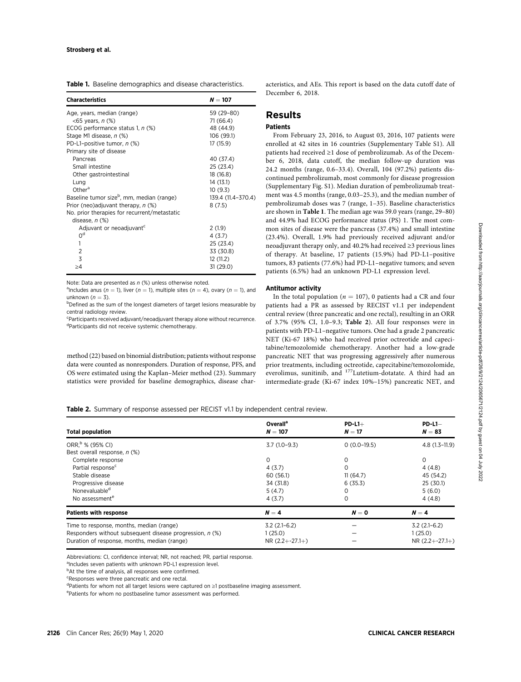| <b>Table 1.</b> Baseline demographics and disease characteristics. |
|--------------------------------------------------------------------|
|--------------------------------------------------------------------|

| <b>Characteristics</b>                                | $N = 107$          |
|-------------------------------------------------------|--------------------|
| Age, years, median (range)                            | 59 (29-80)         |
| <65 years, n (%)                                      | 71 (66.4)          |
| ECOG performance status 1, n (%)                      | 48 (44.9)          |
| Stage M1 disease, n (%)                               | 106 (99.1)         |
| PD-L1-positive tumor, n (%)                           | 17 (15.9)          |
| Primary site of disease                               |                    |
| Pancreas                                              | 40 (37.4)          |
| Small intestine                                       | 25 (23.4)          |
| Other gastrointestinal                                | 18 (16.8)          |
| Lung                                                  | 14 (13.1)          |
| Other <sup>a</sup>                                    | 10(9.3)            |
| Baseline tumor size <sup>b</sup> , mm, median (range) | 139.4 (11.4-370.4) |
| Prior (neo)adjuvant therapy, n (%)                    | 8(7.5)             |
| No. prior therapies for recurrent/metastatic          |                    |
| disease, n (%)                                        |                    |
| Adjuvant or neoadjuvant                               | 2(1.9)             |
| 0 <sup>d</sup>                                        | 4(3.7)             |
| 1                                                     | 25 (23.4)          |
| $\overline{2}$                                        | 33 (30.8)          |
| 3                                                     | 12 (11.2)          |
| >4                                                    | 31 (29.0)          |

Note: Data are presented as  $n$  (%) unless otherwise noted.

<sup>a</sup> Includes anus ( $n = 1$ ), liver ( $n = 1$ ), multiple sites ( $n = 4$ ), ovary ( $n = 1$ ), and unknown  $(n = 3)$ .

<sup>b</sup>Defined as the sum of the longest diameters of target lesions measurable by central radiology review.

<sup>c</sup>Participants received adjuvant/neoadjuvant therapy alone without recurrence. d Participants did not receive systemic chemotherapy.

method (22) based on binomial distribution; patients without response data were counted as nonresponders. Duration of response, PFS, and OS were estimated using the Kaplan–Meier method (23). Summary statistics were provided for baseline demographics, disease characteristics, and AEs. This report is based on the data cutoff date of December 6, 2018.

# Results

## **Pationts**

From February 23, 2016, to August 03, 2016, 107 patients were enrolled at 42 sites in 16 countries (Supplementary Table S1). All patients had received ≥1 dose of pembrolizumab. As of the December 6, 2018, data cutoff, the median follow-up duration was 24.2 months (range, 0.6–33.4). Overall, 104 (97.2%) patients discontinued pembrolizumab, most commonly for disease progression (Supplementary Fig. S1). Median duration of pembrolizumab treatment was 4.5 months (range, 0.03–25.3), and the median number of pembrolizumab doses was 7 (range, 1–35). Baseline characteristics are shown in Table 1. The median age was 59.0 years (range, 29–80) and 44.9% had ECOG performance status (PS) 1. The most common sites of disease were the pancreas (37.4%) and small intestine (23.4%). Overall, 1.9% had previously received adjuvant and/or neoadjuvant therapy only, and 40.2% had received ≥3 previous lines of therapy. At baseline, 17 patients (15.9%) had PD-L1–positive tumors, 83 patients (77.6%) had PD-L1–negative tumors; and seven patients (6.5%) had an unknown PD-L1 expression level.

#### Antitumor activity

In the total population ( $n = 107$ ), 0 patients had a CR and four patients had a PR as assessed by RECIST v1.1 per independent central review (three pancreatic and one rectal), resulting in an ORR of 3.7% (95% CI, 1.0–9.3; Table 2). All four responses were in patients with PD-L1–negative tumors. One had a grade 2 pancreatic NET (Ki-67 18%) who had received prior octreotide and capecitabine/temozolomide chemotherapy. Another had a low-grade pancreatic NET that was progressing aggressively after numerous prior treatments, including octreotide, capecitabine/temozolomide, everolimus, sunitinib, and 177Lutetium-dotatate. A third had an intermediate-grade (Ki-67 index 10%–15%) pancreatic NET, and

## Table 2. Summary of response assessed per RECIST v1.1 by independent central review.

| <b>Total population</b>                                  | <b>Overall</b> <sup>a</sup><br>$N = 107$ | $PD-L1+$<br>$N=17$ | $PD-L1-$<br>$N = 83$ |
|----------------------------------------------------------|------------------------------------------|--------------------|----------------------|
| ORR, <sup>b</sup> % (95% CI)                             | $3.7(1.0-9.3)$                           | $0(0.0-19.5)$      | $4.8(1.3-11.9)$      |
| Best overall response, n (%)                             |                                          |                    |                      |
| Complete response                                        | 0                                        | 0                  | 0                    |
| Partial response <sup>c</sup>                            | 4(3.7)                                   | 0                  | 4(4.8)               |
| Stable disease                                           | 60 (56.1)                                | 11(64.7)           | 45 (54.2)            |
| Progressive disease                                      | 34 (31.8)                                | 6(35.3)            | 25(30.1)             |
| Nonevaluable <sup>d</sup>                                | 5(4.7)                                   | 0                  | 5(6.0)               |
| No assessment <sup>e</sup>                               | 4(3.7)                                   | $\Omega$           | 4(4.8)               |
| <b>Patients with response</b>                            | $N=4$                                    | $N = 0$            | $N=4$                |
| Time to response, months, median (range)                 | $3.2(2.1-6.2)$                           |                    | $3.2(2.1-6.2)$       |
| Responders without subsequent disease progression, n (%) | 1(25.0)                                  |                    | 1(25.0)              |
| Duration of response, months, median (range)             | $NR(2.2 + -27.1+)$                       |                    | $NR(2.2 + -27.1+)$   |

Abbreviations: CI, confidence interval; NR, not reached; PR, partial response.

aIncludes seven patients with unknown PD-L1 expression level.

<sup>b</sup>At the time of analysis, all responses were confirmed.

<sup>c</sup>Responses were three pancreatic and one rectal.

dPatients for whom not all target lesions were captured on ≥1 postbaseline imaging assessment.

e Patients for whom no postbaseline tumor assessment was performed.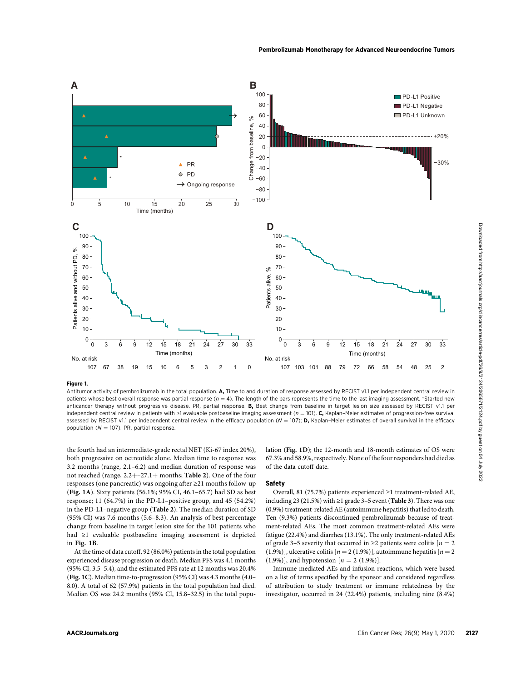

#### Figure 1.

Antitumor activity of pembrolizumab in the total population. A, Time to and duration of response assessed by RECIST v1.1 per independent central review in patients whose best overall response was partial response ( $n = 4$ ). The length of the bars represents the time to the last imaging assessment. \*Started new anticancer therapy without progressive disease. PR, partial response. B, Best change from baseline in target lesion size assessed by RECIST v1.1 per independent central review in patients with ≥1 evaluable postbaseline imaging assessment ( $n = 101$ ). C, Kaplan–Meier estimates of progression-free survival assessed by RECIST v1.1 per independent central review in the efficacy population ( $N = 107$ ); D, Kaplan-Meier estimates of overall survival in the efficacy population ( $N = 107$ ). PR, partial response.

the fourth had an intermediate-grade rectal NET (Ki-67 index 20%), both progressive on octreotide alone. Median time to response was 3.2 months (range, 2.1–6.2) and median duration of response was not reached (range,  $2.2 + -27.1 +$  months; Table 2). One of the four responses (one pancreatic) was ongoing after ≥21 months follow-up (Fig. 1A). Sixty patients (56.1%; 95% CI, 46.1–65.7) had SD as best response; 11 (64.7%) in the PD-L1–positive group, and 45 (54.2%) in the PD-L1–negative group (Table 2). The median duration of SD (95% CI) was 7.6 months (5.6–8.3). An analysis of best percentage change from baseline in target lesion size for the 101 patients who had ≥1 evaluable postbaseline imaging assessment is depicted in Fig. 1B.

At the time of data cutoff, 92 (86.0%) patients in the total population experienced disease progression or death. Median PFS was 4.1 months (95% CI, 3.5–5.4), and the estimated PFS rate at 12 months was 20.4% (Fig. 1C). Median time-to-progression (95% CI) was 4.3 months (4.0– 8.0). A total of 62 (57.9%) patients in the total population had died. Median OS was 24.2 months (95% CI, 15.8–32.5) in the total population (Fig. 1D); the 12-month and 18-month estimates of OS were 67.3% and 58.9%, respectively. None of the four responders had died as of the data cutoff date.

## Safety

Overall, 81 (75.7%) patients experienced ≥1 treatment-related AE, including 23 (21.5%) with ≥1 grade 3–5 event (Table 3). There was one (0.9%) treatment-related AE (autoimmune hepatitis) that led to death. Ten (9.3%) patients discontinued pembrolizumab because of treatment-related AEs. The most common treatment-related AEs were fatigue (22.4%) and diarrhea (13.1%). The only treatment-related AEs of grade 3–5 severity that occurred in ≥2 patients were colitis [ $n = 2$ ] (1.9%)], ulcerative colitis  $[n = 2 (1.9\%)]$ , autoimmune hepatitis  $[n = 2 1.9\%)$ (1.9%)], and hypotension  $[n = 2 (1.9\%)]$ .

Immune-mediated AEs and infusion reactions, which were based on a list of terms specified by the sponsor and considered regardless of attribution to study treatment or immune relatedness by the investigator, occurred in 24 (22.4%) patients, including nine (8.4%)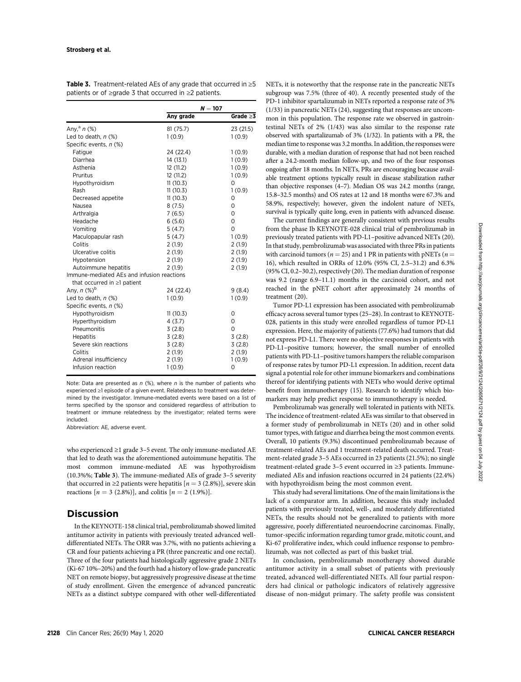|                                            | $N = 107$ |                |  |
|--------------------------------------------|-----------|----------------|--|
|                                            | Any grade | Grade $\geq$ 3 |  |
| Any, $a \circ n$ (%)<br>81 (75.7)          |           | 23 (21.5)      |  |
| Led to death, $n$ (%)<br>1(0.9)            | 1(0.9)    |                |  |
| Specific events, n (%)                     |           |                |  |
| Fatigue<br>24 (22.4)                       | 1(0.9)    |                |  |
| Diarrhea<br>14 (13.1)                      | 1(0.9)    |                |  |
| Asthenia<br>12(11.2)                       | 1(0.9)    |                |  |
| Pruritus<br>12 (11.2)                      | 1(0.9)    |                |  |
| Hypothyroidism<br>11(10.3)                 | 0         |                |  |
| 11(10.3)<br>Rash                           | 1(0.9)    |                |  |
| Decreased appetite<br>11(10.3)             | 0         |                |  |
| Nausea<br>8(7.5)                           | 0         |                |  |
| Arthralgia<br>7(6.5)                       | 0         |                |  |
| Headache<br>6(5.6)                         | 0         |                |  |
| Vomiting<br>5(4.7)                         | $\Omega$  |                |  |
| Maculopapular rash<br>5(4.7)               | 1(0.9)    |                |  |
| Colitis<br>2(1.9)                          | 2(1.9)    |                |  |
| Ulcerative colitis<br>2(1.9)               | 2(1.9)    |                |  |
| 2(1.9)<br>Hypotension                      | 2(1.9)    |                |  |
| Autoimmune hepatitis<br>2(1.9)             | 2(1.9)    |                |  |
| Immune-mediated AEs and infusion reactions |           |                |  |
| that occurred in $\geq$ 1 patient          |           |                |  |
| Any, n (%) <sup>b</sup><br>24 (22.4)       |           | 9(8.4)         |  |
| Led to death, $n$ $%$<br>1(0.9)            | 1(0.9)    |                |  |
| Specific events, n (%)                     |           |                |  |
| Hypothyroidism<br>11(10.3)                 | 0         |                |  |
| Hyperthyroidism<br>4(3.7)                  | $\Omega$  |                |  |
| Pneumonitis<br>3(2.8)                      | $\Omega$  |                |  |
| <b>Hepatitis</b><br>3(2.8)                 | 3(2.8)    |                |  |
| Severe skin reactions<br>3(2.8)            | 3(2.8)    |                |  |
| Colitis<br>2(1.9)                          | 2(1.9)    |                |  |
| Adrenal insufficiency<br>2(1.9)            | 1(0.9)    |                |  |
| Infusion reaction<br>1(0.9)                | 0         |                |  |

**Table 3.** Treatment-related AEs of any grade that occurred in  $\geq 5$ patients or of ≥grade 3 that occurred in ≥2 patients.

Note: Data are presented as  $n$  (%), where  $n$  is the number of patients who experienced ≥1 episode of a given event. Relatedness to treatment was determined by the investigator. Immune-mediated events were based on a list of terms specified by the sponsor and considered regardless of attribution to treatment or immune relatedness by the investigator; related terms were included.

Abbreviation: AE, adverse event.

who experienced ≥1 grade 3–5 event. The only immune-mediated AE that led to death was the aforementioned autoimmune hepatitis. The most common immune-mediated AE was hypothyroidism (10.3%%; Table 3). The immune-mediated AEs of grade 3–5 severity that occurred in ≥2 patients were hepatitis  $[n = 3 (2.8\%)]$ , severe skin reactions  $[n = 3 (2.8\%)]$ , and colitis  $[n = 2 (1.9\%)]$ .

# **Discussion**

In the KEYNOTE-158 clinical trial, pembrolizumab showed limited antitumor activity in patients with previously treated advanced welldifferentiated NETs. The ORR was 3.7%, with no patients achieving a CR and four patients achieving a PR (three pancreatic and one rectal). Three of the four patients had histologically aggressive grade 2 NETs (Ki-67 10%–20%) and the fourth had a history of low-grade pancreatic NET on remote biopsy, but aggressively progressive disease at the time of study enrollment. Given the emergence of advanced pancreatic NETs as a distinct subtype compared with other well-differentiated NETs, it is noteworthy that the response rate in the pancreatic NETs subgroup was 7.5% (three of 40). A recently presented study of the PD-1 inhibitor spartalizumab in NETs reported a response rate of 3% (1/33) in pancreatic NETs (24), suggesting that responses are uncommon in this population. The response rate we observed in gastrointestinal NETs of 2% (1/43) was also similar to the response rate observed with spartalizumab of 3% (1/32). In patients with a PR, the median time to response was 3.2 months. In addition, the responses were durable, with a median duration of response that had not been reached after a 24.2-month median follow-up, and two of the four responses ongoing after 18 months. In NETs, PRs are encouraging because available treatment options typically result in disease stabilization rather than objective responses (4–7). Median OS was 24.2 months (range, 15.8–32.5 months) and OS rates at 12 and 18 months were 67.3% and 58.9%, respectively; however, given the indolent nature of NETs, survival is typically quite long, even in patients with advanced disease.

The current findings are generally consistent with previous results from the phase Ib KEYNOTE-028 clinical trial of pembrolizumab in previously treated patients with PD-L1–positive advanced NETs (20). In that study, pembrolizumab was associated with three PRs in patients with carcinoid tumors ( $n = 25$ ) and 1 PR in patients with pNETs ( $n =$ 16), which resulted in ORRs of 12.0% (95% CI, 2.5–31.2) and 6.3% (95% CI, 0.2–30.2), respectively (20). The median duration of response was 9.2 (range 6.9–11.1) months in the carcinoid cohort, and not reached in the pNET cohort after approximately 24 months of treatment (20).

Tumor PD-L1 expression has been associated with pembrolizumab efficacy across several tumor types (25–28). In contrast to KEYNOTE-028, patients in this study were enrolled regardless of tumor PD-L1 expression. Here, the majority of patients (77.6%) had tumors that did not express PD-L1. There were no objective responses in patients with PD-L1–positive tumors; however, the small number of enrolled patients with PD-L1–positive tumors hampers the reliable comparison of response rates by tumor PD-L1 expression. In addition, recent data signal a potential role for other immune biomarkers and combinations thereof for identifying patients with NETs who would derive optimal benefit from immunotherapy (15). Research to identify which biomarkers may help predict response to immunotherapy is needed.

Pembrolizumab was generally well tolerated in patients with NETs. The incidence of treatment-related AEs was similar to that observed in a former study of pembrolizumab in NETs (20) and in other solid tumor types, with fatigue and diarrhea being the most common events. Overall, 10 patients (9.3%) discontinued pembrolizumab because of treatment-related AEs and 1 treatment-related death occurred. Treatment-related grade 3–5 AEs occurred in 23 patients (21.5%); no single treatment-related grade 3–5 event occurred in ≥3 patients. Immunemediated AEs and infusion reactions occurred in 24 patients (22.4%) with hypothyroidism being the most common event.

This study had several limitations. One of the main limitations is the lack of a comparator arm. In addition, because this study included patients with previously treated, well-, and moderately differentiated NETs, the results should not be generalized to patients with more aggressive, poorly differentiated neuroendocrine carcinomas. Finally, tumor-specific information regarding tumor grade, mitotic count, and Ki-67 proliferative index, which could influence response to pembrolizumab, was not collected as part of this basket trial.

In conclusion, pembrolizumab monotherapy showed durable antitumor activity in a small subset of patients with previously treated, advanced well-differentiated NETs. All four partial responders had clinical or pathologic indicators of relatively aggressive disease of non-midgut primary. The safety profile was consistent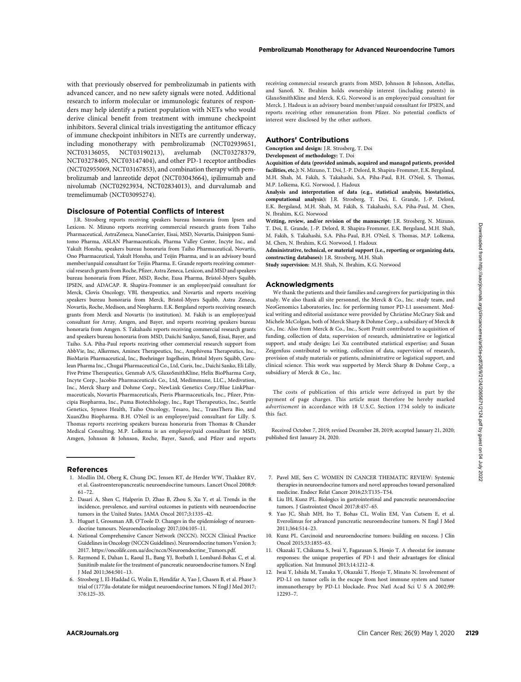with that previously observed for pembrolizumab in patients with advanced cancer, and no new safety signals were noted. Additional research to inform molecular or immunologic features of responders may help identify a patient population with NETs who would derive clinical benefit from treatment with immune checkpoint inhibitors. Several clinical trials investigating the antitumor efficacy of immune checkpoint inhibitors in NETs are currently underway, including monotherapy with pembrolizumab (NCT02939651, NCT03136055, NCT03190213), avelumab (NCT03278379, NCT03278405, NCT03147404), and other PD-1 receptor antibodies (NCT02955069, NCT03167853), and combination therapy with pembrolizumab and lanreotide depot (NCT03043664), ipilimumab and nivolumab (NCT02923934, NCT02834013), and durvalumab and tremelimumab (NCT03095274).

## Disclosure of Potential Conflicts of Interest

J.R. Strosberg reports receiving speakers bureau honoraria from Ipsen and Lexicon. N. Mizuno reports receiving commercial research grants from Taiho Pharmaceutical, AstraZeneca, NanoCarrier, Eisai, MSD, Novartis, Dainippon Sumitomo Pharma, ASLAN Pharmaceuticals, Pharma Valley Center, Incyte Inc., and Yakult Honsha, speakers bureau honoraria from Taiho Pharmaceutical, Novartis, Ono Pharmaceutical, Yakult Honsha, and Teijin Pharma, and is an advisory board member/unpaid consultant for Teijin Pharma. E. Grande reports receiving commercial research grants from Roche, Pfizer, Astra Zeneca, Lexicon, and MSD and speakers bureau honoraria from Pfizer, MSD, Roche, Eusa Pharma, Bristol-Myers Squibb, IPSEN, and ADACAP. R. Shapira-Frommer is an employee/paid consultant for Merck, Clovis Oncology, VBL therapeutics, and Novartis and reports receiving speakers bureau honoraria from Merck, Bristol-Myers Squibb, Astra Zeneca, Novartis, Roche, Medison, and Neopharm. E.K. Bergsland reports receiving research grants from Merck and Novartis (to institution). M. Fakih is an employee/paid consultant for Array, Amgen, and Bayer, and reports receiving speakers bureau honoraria from Amgen. S. Takahashi reports receiving commercial research grants and speakers bureau honoraria from MSD, Daiichi Sankyo, Sanofi, Eisai, Bayer, and Taiho. S.A. Piha-Paul reports receiving other commercial research support from AbbVie, Inc, Alkermes, Aminex Therapeutics, Inc., Amphivena Therapeutics, Inc., BioMarin Pharmaceutical, Inc., Boehringer Ingelheim, Bristol Myers Squibb, Cerulean Pharma Inc., Chugai Pharmaceutical Co., Ltd, Curis, Inc., Daichi Sanko, Eli Lilly, Five Prime Therapeutics, Genmab A/S, GlaxoSmithKline, Helix BioPharma Corp, Incyte Corp., Jacobio Pharmaceuticals Co., Ltd, Medimmune, LLC., Medivation, Inc., Merck Sharp and Dohme Corp., NewLink Genetics Corp./Blue LinkPharmaceuticals, Novartis Pharmaceuticals, Pieris Pharmaceuticals, Inc., Pfizer, Principia Biopharma, Inc., Puma Biotechhology, Inc., Rapt Therapeutics, Inc., Seattle Genetics, Syneos Health, Taiho Oncology, Tesaro, Inc., TransThera Bio, and XuanZhu Biopharma. B.H. O'Neil is an employee/paid consultant for Lilly. S. Thomas reports receiving speakers bureau honoraria from Thomas & Chander Medical Consulting. M.P. Lolkema is an employee/paid consultant for MSD, Amgen, Johnson & Johnson, Roche, Bayer, Sanofi, and Pfizer and reports

#### References

- 1. Modlin IM, Oberg K, Chung DC, Jensen RT, de Herder WW, Thakker RV, et al. Gastroenteropancreatic neuroendocrine tumours. Lancet Oncol 2008;9: 61–72.
- 2. Dasari A, Shen C, Halperin D, Zhao B, Zhou S, Xu Y, et al. Trends in the incidence, prevalence, and survival outcomes in patients with neuroendocrine tumors in the United States. JAMA Oncol 2017;3:1335–42.
- 3. Huguet I, Grossman AB, O'Toole D. Changes in the epidemiology of neuroendocrine tumours. Neuroendocrinology 2017;104:105–11.
- 4. National Comprehensive Cancer Network (NCCN). NCCN Clinical Practice Guidelines in Oncology (NCCN Guidelines). Neuroendocrine tumors Version 3; 2017. [https://oncolife.com.ua/doc/nccn/Neuroendocrine\\_Tumors.pdf.](https://oncolife.com.ua/doc/nccn/Neuroendocrine_Tumors.pdf)
- 5. Raymond E, Dahan L, Raoul JL, Bang YJ, Borbath I, Lombard-Bohas C, et al. Sunitinib malate for the treatment of pancreatic neuroendocrine tumors. N Engl J Med 2011;364:501–13.
- 6. Strosberg J, El-Haddad G, Wolin E, Hendifar A, Yao J, Chasen B, et al. Phase 3 trial of (177)lu-dotatate for midgut neuroendocrine tumors. N Engl J Med 2017; 376:125–35.

receiving commercial research grants from MSD, Johnson & Johnson, Astellas, and Sanofi. N. Ibrahim holds ownership interest (including patents) in GlaxoSmithKline and Merck. K.G. Norwood is an employee/paid consultant for Merck. J. Hadoux is an advisory board member/unpaid consultant for IPSEN, and reports receiving other remuneration from Pfizer. No potential conflicts of interest were disclosed by the other authors.

#### Authors' Contributions

Conception and design: J.R. Strosberg, T. Doi

#### Development of methodology: T. Doi

Acquisition of data (provided animals, acquired and managed patients, provided facilities, etc.): N. Mizuno, T. Doi, J.-P. Delord, R. Shapira-Frommer, E.K. Bergsland, M.H. Shah, M. Fakih, S. Takahashi, S.A. Piha-Paul, B.H. O'Neil, S. Thomas, M.P. Lolkema, K.G. Norwood, J. Hadoux

Analysis and interpretation of data (e.g., statistical analysis, biostatistics, computational analysis): J.R. Strosberg, T. Doi, E. Grande, J.-P. Delord, E.K. Bergsland, M.H. Shah, M. Fakih, S. Takahashi, S.A. Piha-Paul, M. Chen, N. Ibrahim, K.G. Norwood

Writing, review, and/or revision of the manuscript: LR. Strosberg, N. Mizuno, T. Doi, E. Grande, J.-P. Delord, R. Shapira-Frommer, E.K. Bergsland, M.H. Shah, M. Fakih, S. Takahashi, S.A. Piha-Paul, B.H. O'Neil, S. Thomas, M.P. Lolkema, M. Chen, N. Ibrahim, K.G. Norwood, J. Hadoux

Administrative, technical, or material support (i.e., reporting or organizing data, constructing databases): J.R. Strosberg, M.H. Shah

Study supervision: M.H. Shah, N. Ibrahim, K.G. Norwood

#### Acknowledgments

We thank the patients and their families and caregivers for participating in this study. We also thank all site personnel, the Merck & Co., Inc. study team, and NeoGenomics Laboratories, Inc. for performing tumor PD-L1 assessment. Medical writing and editorial assistance were provided by Christine McCrary Sisk and Michele McColgan, both of Merck Sharp & Dohme Corp., a subsidiary of Merck & Co., Inc. Also from Merck & Co., Inc., Scott Pruitt contributed to acquisition of funding, collection of data, supervision of research, administrative or logistical support, and study design; Lei Xu contributed statistical expertise; and Susan Zeigenfuss contributed to writing, collection of data, supervision of research, provision of study materials or patients, administrative or logistical support, and clinical science. This work was supported by Merck Sharp & Dohme Corp., a subsidiary of Merck & Co., Inc.

The costs of publication of this article were defrayed in part by the payment of page charges. This article must therefore be hereby marked advertisement in accordance with 18 U.S.C. Section 1734 solely to indicate this fact.

Received October 7, 2019; revised December 28, 2019; accepted January 21, 2020; published first January 24, 2020.

- 7. Pavel ME, Sers C. WOMEN IN CANCER THEMATIC REVIEW: Systemic therapies in neuroendocrine tumors and novel approaches toward personalized medicine. Endocr Relat Cancer 2016;23:T135–T54.
- 8. Liu IH, Kunz PL. Biologics in gastrointestinal and pancreatic neuroendocrine tumors. J Gastrointest Oncol 2017;8:457–65.
- 9. Yao JC, Shah MH, Ito T, Bohas CL, Wolin EM, Van Cutsem E, et al. Everolimus for advanced pancreatic neuroendocrine tumors. N Engl J Med 2011;364:514–23.
- 10. Kunz PL. Carcinoid and neuroendocrine tumors: building on success. J Clin Oncol 2015;33:1855–63.
- 11. Okazaki T, Chikuma S, Iwai Y, Fagarasan S, Honjo T. A rheostat for immune responses: the unique properties of PD-1 and their advantages for clinical application. Nat Immunol 2013;14:1212–8.
- 12. Iwai Y, Ishida M, Tanaka Y, Okazaki T, Honjo T, Minato N. Involvement of PD-L1 on tumor cells in the escape from host immune system and tumor immunotherapy by PD-L1 blockade. Proc Natl Acad Sci U S A 2002;99: 12293–7.